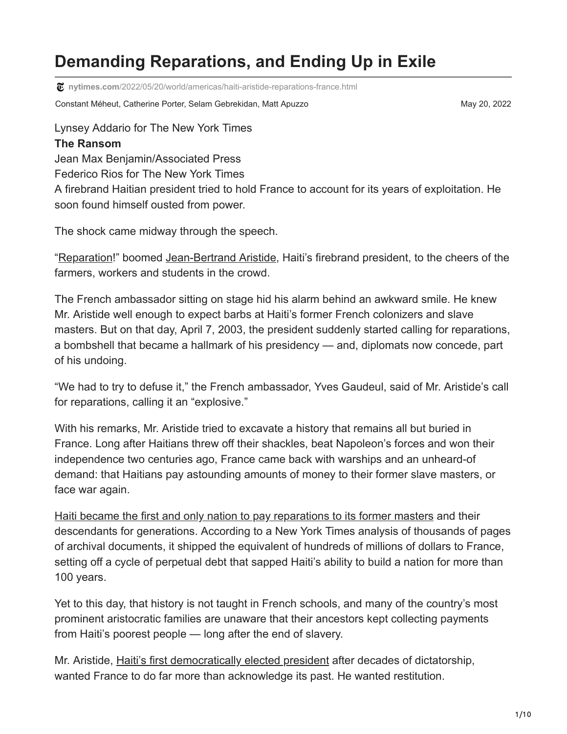# **Demanding Reparations, and Ending Up in Exile**

**nytimes.com**[/2022/05/20/world/americas/haiti-aristide-reparations-france.html](https://www.nytimes.com/2022/05/20/world/americas/haiti-aristide-reparations-france.html)

Constant Méheut, Catherine Porter, Selam Gebrekidan, Matt Apuzzo May 20, 2022

Lynsey Addario for The New York Times

#### **The Ransom**

Jean Max Benjamin/Associated Press Federico Rios for The New York Times A firebrand Haitian president tried to hold France to account for its years of exploitation. He soon found himself ousted from power.

The shock came midway through the speech.

"[Reparation!](https://www.youtube.com/watch?v=S8ywg8YOJhE)" boomed [Jean-Bertrand Aristide](https://www.nytimes.com/1994/05/01/magazine/innocent-abroad-jean-bertrand-aristide.html), Haiti's firebrand president, to the cheers of the farmers, workers and students in the crowd.

The French ambassador sitting on stage hid his alarm behind an awkward smile. He knew Mr. Aristide well enough to expect barbs at Haiti's former French colonizers and slave masters. But on that day, April 7, 2003, the president suddenly started calling for reparations, a bombshell that became a hallmark of his presidency — and, diplomats now concede, part of his undoing.

"We had to try to defuse it," the French ambassador, Yves Gaudeul, said of Mr. Aristide's call for reparations, calling it an "explosive."

With his remarks, Mr. Aristide tried to excavate a history that remains all but buried in France. Long after Haitians threw off their shackles, beat Napoleon's forces and won their independence two centuries ago, France came back with warships and an unheard-of demand: that Haitians pay astounding amounts of money to their former slave masters, or face war again.

[Haiti became the first and only nation to pay reparations to its former masters](https://www.nytimes.com/2022/05/20/world/haiti-history-colonized-france.html) and their descendants for generations. According to a New York Times analysis of thousands of pages of archival documents, it shipped the equivalent of hundreds of millions of dollars to France, setting off a cycle of perpetual debt that sapped Haiti's ability to build a nation for more than 100 years.

Yet to this day, that history is not taught in French schools, and many of the country's most prominent aristocratic families are unaware that their ancestors kept collecting payments from Haiti's poorest people — long after the end of slavery.

Mr. Aristide, [Haiti's first democratically elected president](https://www.nytimes.com/1990/12/18/world/haitians-overwhelmingly-elect-populist-priest-to-the-presidency.html) after decades of dictatorship, wanted France to do far more than acknowledge its past. He wanted restitution.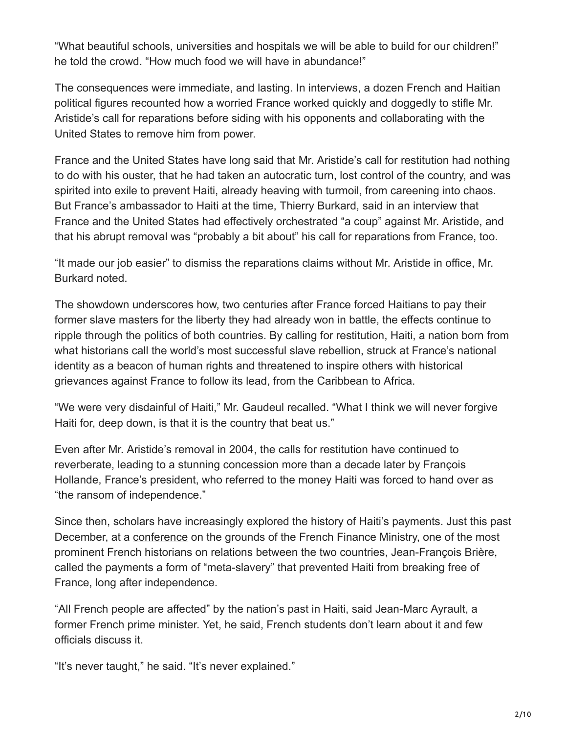"What beautiful schools, universities and hospitals we will be able to build for our children!" he told the crowd. "How much food we will have in abundance!"

The consequences were immediate, and lasting. In interviews, a dozen French and Haitian political figures recounted how a worried France worked quickly and doggedly to stifle Mr. Aristide's call for reparations before siding with his opponents and collaborating with the United States to remove him from power.

France and the United States have long said that Mr. Aristide's call for restitution had nothing to do with his ouster, that he had taken an autocratic turn, lost control of the country, and was spirited into exile to prevent Haiti, already heaving with turmoil, from careening into chaos. But France's ambassador to Haiti at the time, Thierry Burkard, said in an interview that France and the United States had effectively orchestrated "a coup" against Mr. Aristide, and that his abrupt removal was "probably a bit about" his call for reparations from France, too.

"It made our job easier" to dismiss the reparations claims without Mr. Aristide in office, Mr. Burkard noted.

The showdown underscores how, two centuries after France forced Haitians to pay their former slave masters for the liberty they had already won in battle, the effects continue to ripple through the politics of both countries. By calling for restitution, Haiti, a nation born from what historians call the world's most successful slave rebellion, struck at France's national identity as a beacon of human rights and threatened to inspire others with historical grievances against France to follow its lead, from the Caribbean to Africa.

"We were very disdainful of Haiti," Mr. Gaudeul recalled. "What I think we will never forgive Haiti for, deep down, is that it is the country that beat us."

Even after Mr. Aristide's removal in 2004, the calls for restitution have continued to reverberate, leading to a stunning concession more than a decade later by François Hollande, France's president, who referred to the money Haiti was forced to hand over as "the ransom of independence."

Since then, scholars have increasingly explored the history of Haiti's payments. Just this past December, at a [conference](https://www.economie.gouv.fr/igpde-seminaires-conferences/travail-servile-et-dynamiques-economiques-xvie-xxie-siecle) on the grounds of the French Finance Ministry, one of the most prominent French historians on relations between the two countries, Jean-François Brière, called the payments a form of "meta-slavery" that prevented Haiti from breaking free of France, long after independence.

"All French people are affected" by the nation's past in Haiti, said Jean-Marc Ayrault, a former French prime minister. Yet, he said, French students don't learn about it and few officials discuss it.

"It's never taught," he said. "It's never explained."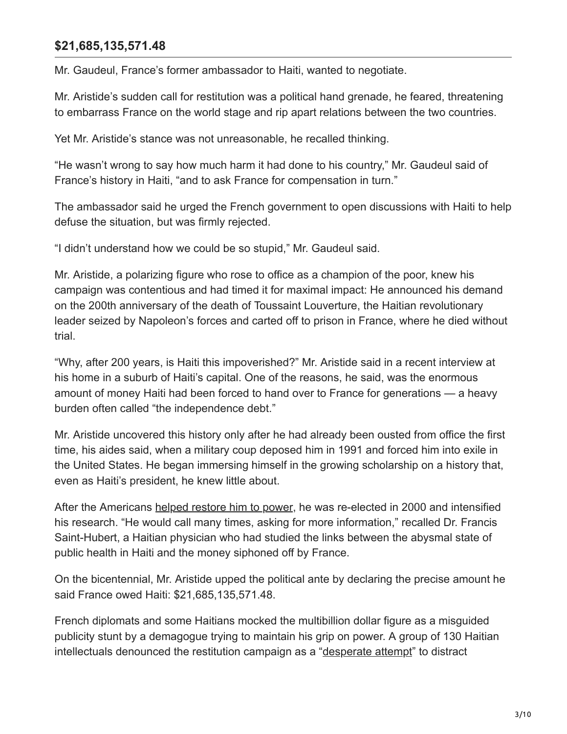#### **\$21,685,135,571.48**

Mr. Gaudeul, France's former ambassador to Haiti, wanted to negotiate.

Mr. Aristide's sudden call for restitution was a political hand grenade, he feared, threatening to embarrass France on the world stage and rip apart relations between the two countries.

Yet Mr. Aristide's stance was not unreasonable, he recalled thinking.

"He wasn't wrong to say how much harm it had done to his country," Mr. Gaudeul said of France's history in Haiti, "and to ask France for compensation in turn."

The ambassador said he urged the French government to open discussions with Haiti to help defuse the situation, but was firmly rejected.

"I didn't understand how we could be so stupid," Mr. Gaudeul said.

Mr. Aristide, a polarizing figure who rose to office as a champion of the poor, knew his campaign was contentious and had timed it for maximal impact: He announced his demand on the 200th anniversary of the death of Toussaint Louverture, the Haitian revolutionary leader seized by Napoleon's forces and carted off to prison in France, where he died without trial.

"Why, after 200 years, is Haiti this impoverished?" Mr. Aristide said in a recent interview at his home in a suburb of Haiti's capital. One of the reasons, he said, was the enormous amount of money Haiti had been forced to hand over to France for generations — a heavy burden often called "the independence debt."

Mr. Aristide uncovered this history only after he had already been ousted from office the first time, his aides said, when a military coup deposed him in 1991 and forced him into exile in the United States. He began immersing himself in the growing scholarship on a history that, even as Haiti's president, he knew little about.

After the Americans [helped restore him to power](https://www.nytimes.com/1994/10/16/world/mission-haiti-homecoming-aristide-joyful-return-urges-reconciliation-haiti.html), he was re-elected in 2000 and intensified his research. "He would call many times, asking for more information," recalled Dr. Francis Saint-Hubert, a Haitian physician who had studied the links between the abysmal state of public health in Haiti and the money siphoned off by France.

On the bicentennial, Mr. Aristide upped the political ante by declaring the precise amount he said France owed Haiti: \$21,685,135,571.48.

French diplomats and some Haitians mocked the multibillion dollar figure as a misguided publicity stunt by a demagogue trying to maintain his grip on power. A group of 130 Haitian intellectuals denounced the restitution campaign as a "[desperate attempt"](https://haitiliberte.com/document-pour-lhistoire-sur-la-celebration-des-200-ans-dindependance-dhaiti/) to distract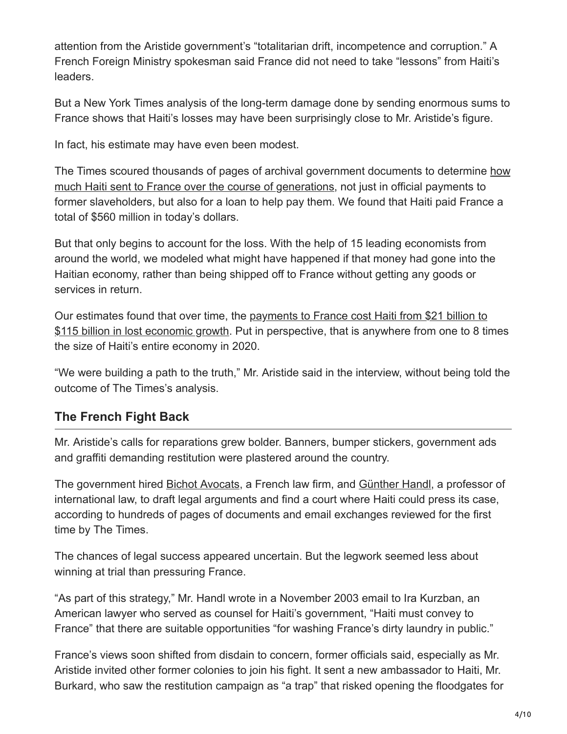attention from the Aristide government's "totalitarian drift, incompetence and corruption." A French Foreign Ministry spokesman said France did not need to take "lessons" from Haiti's leaders.

But a New York Times analysis of the long-term damage done by sending enormous sums to France shows that Haiti's losses may have been surprisingly close to Mr. Aristide's figure.

In fact, his estimate may have even been modest.

[The Times scoured thousands of pages of archival government documents to determine how](https://www.nytimes.com/interactive/2022/05/20/world/americas/enslaved-haiti-debt-timeline.html) much Haiti sent to France over the course of generations, not just in official payments to former slaveholders, but also for a loan to help pay them. We found that Haiti paid France a total of \$560 million in today's dollars.

But that only begins to account for the loss. With the help of 15 leading economists from around the world, we modeled what might have happened if that money had gone into the Haitian economy, rather than being shipped off to France without getting any goods or services in return.

[Our estimates found that over time, the payments to France cost Haiti from \\$21 billion to](https://www.nytimes.com/interactive/2022/05/20/world/americas/enslaved-haiti-debt-timeline.html) \$115 billion in lost economic growth. Put in perspective, that is anywhere from one to 8 times the size of Haiti's entire economy in 2020.

"We were building a path to the truth," Mr. Aristide said in the interview, without being told the outcome of The Times's analysis.

## **The French Fight Back**

Mr. Aristide's calls for reparations grew bolder. Banners, bumper stickers, government ads and graffiti demanding restitution were plastered around the country.

The government hired **Bichot Avocats**, a French law firm, and [Günther Handl,](https://law.tulane.edu/faculty/full-time/g%C3%BCnther-handl) a professor of international law, to draft legal arguments and find a court where Haiti could press its case, according to hundreds of pages of documents and email exchanges reviewed for the first time by The Times.

The chances of legal success appeared uncertain. But the legwork seemed less about winning at trial than pressuring France.

"As part of this strategy," Mr. Handl wrote in a November 2003 email to Ira Kurzban, an American lawyer who served as counsel for Haiti's government, "Haiti must convey to France" that there are suitable opportunities "for washing France's dirty laundry in public."

France's views soon shifted from disdain to concern, former officials said, especially as Mr. Aristide invited other former colonies to join his fight. It sent a new ambassador to Haiti, Mr. Burkard, who saw the restitution campaign as "a trap" that risked opening the floodgates for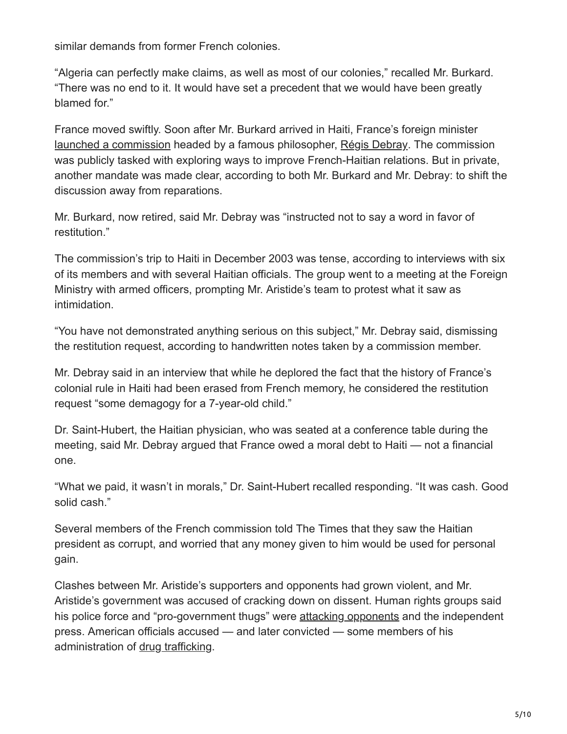similar demands from former French colonies.

"Algeria can perfectly make claims, as well as most of our colonies," recalled Mr. Burkard. "There was no end to it. It would have set a precedent that we would have been greatly blamed for."

France moved swiftly. Soon after Mr. Burkard arrived in Haiti, France's foreign minister [launched a commission](https://www.vie-publique.fr/discours/140299-dominique-de-villepin-07102003-etat-des-relations-franco-haitiennes) headed by a famous philosopher, [Régis Debray](https://www.nytimes.com/1970/12/25/archives/new-lefts-philosopherhero-regis-debray.html). The commission was publicly tasked with exploring ways to improve French-Haitian relations. But in private, another mandate was made clear, according to both Mr. Burkard and Mr. Debray: to shift the discussion away from reparations.

Mr. Burkard, now retired, said Mr. Debray was "instructed not to say a word in favor of restitution."

The commission's trip to Haiti in December 2003 was tense, according to interviews with six of its members and with several Haitian officials. The group went to a meeting at the Foreign Ministry with armed officers, prompting Mr. Aristide's team to protest what it saw as intimidation.

"You have not demonstrated anything serious on this subject," Mr. Debray said, dismissing the restitution request, according to handwritten notes taken by a commission member.

Mr. Debray said in an interview that while he deplored the fact that the history of France's colonial rule in Haiti had been erased from French memory, he considered the restitution request "some demagogy for a 7-year-old child."

Dr. Saint-Hubert, the Haitian physician, who was seated at a conference table during the meeting, said Mr. Debray argued that France owed a moral debt to Haiti — not a financial one.

"What we paid, it wasn't in morals," Dr. Saint-Hubert recalled responding. "It was cash. Good solid cash."

Several members of the French commission told The Times that they saw the Haitian president as corrupt, and worried that any money given to him would be used for personal gain.

Clashes between Mr. Aristide's supporters and opponents had grown violent, and Mr. Aristide's government was accused of cracking down on dissent. Human rights groups said his police force and "pro-government thugs" were [attacking opponents](https://www.hrw.org/report/2004/02/27/haiti-recycled-soldiers-and-paramilitaries-march) and the independent press. American officials accused — and later convicted — some members of his administration of [drug trafficking.](https://2009-2017.state.gov/j/inl/rls/nrcrpt/2002/html/17945.htm)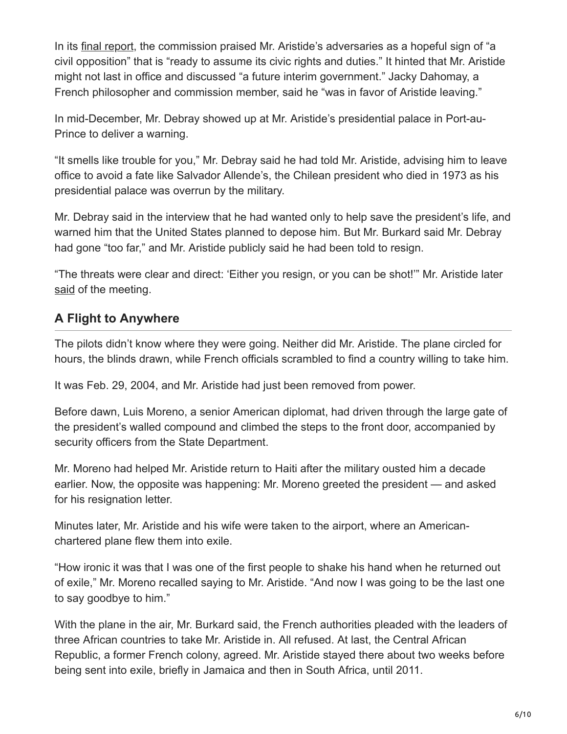In its [final report](https://www.diplomatie.gouv.fr/IMG/pdf/rapport_haiti.pdf), the commission praised Mr. Aristide's adversaries as a hopeful sign of "a civil opposition" that is "ready to assume its civic rights and duties." It hinted that Mr. Aristide might not last in office and discussed "a future interim government." Jacky Dahomay, a French philosopher and commission member, said he "was in favor of Aristide leaving."

In mid-December, Mr. Debray showed up at Mr. Aristide's presidential palace in Port-au-Prince to deliver a warning.

"It smells like trouble for you," Mr. Debray said he had told Mr. Aristide, advising him to leave office to avoid a fate like Salvador Allende's, the Chilean president who died in 1973 as his presidential palace was overrun by the military.

Mr. Debray said in the interview that he had wanted only to help save the president's life, and warned him that the United States planned to depose him. But Mr. Burkard said Mr. Debray had gone "too far," and Mr. Aristide publicly said he had been told to resign.

"The threats were clear and direct: 'Either you resign, or you can be shot!'" Mr. Aristide later [said](https://www.youtube.com/watch?v=yMg-1iNdItE&ab_channel=ClaudeRibbe) of the meeting.

#### **A Flight to Anywhere**

The pilots didn't know where they were going. Neither did Mr. Aristide. The plane circled for hours, the blinds drawn, while French officials scrambled to find a country willing to take him.

It was Feb. 29, 2004, and Mr. Aristide had just been removed from power.

Before dawn, Luis Moreno, a senior American diplomat, had driven through the large gate of the president's walled compound and climbed the steps to the front door, accompanied by security officers from the State Department.

Mr. Moreno had helped Mr. Aristide return to Haiti after the military ousted him a decade earlier. Now, the opposite was happening: Mr. Moreno greeted the president — and asked for his resignation letter.

Minutes later, Mr. Aristide and his wife were taken to the airport, where an Americanchartered plane flew them into exile.

"How ironic it was that I was one of the first people to shake his hand when he returned out of exile," Mr. Moreno recalled saying to Mr. Aristide. "And now I was going to be the last one to say goodbye to him."

With the plane in the air, Mr. Burkard said, the French authorities pleaded with the leaders of three African countries to take Mr. Aristide in. All refused. At last, the Central African Republic, a former French colony, agreed. Mr. Aristide stayed there about two weeks before being sent into exile, briefly in Jamaica and then in South Africa, until 2011.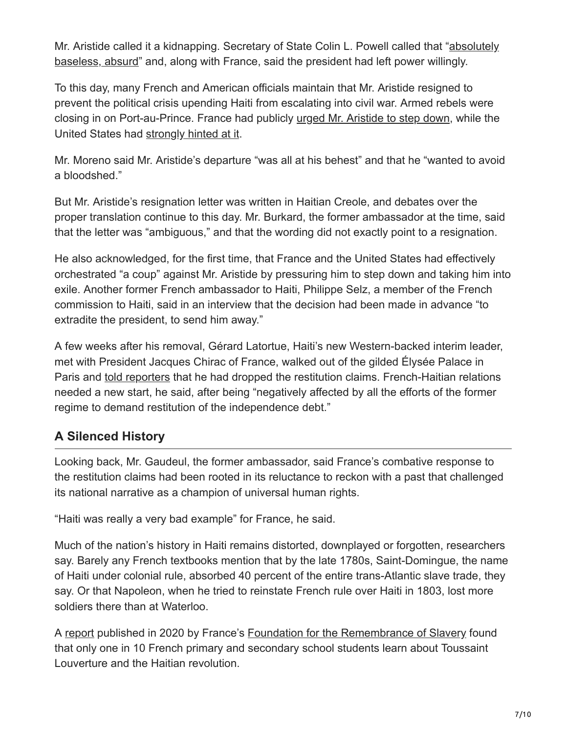[Mr. Aristide called it a kidnapping. Secretary of State Colin L. Powell called that "absolutely](https://www.nytimes.com/2004/03/02/world/aristide-resignation-departure-state-dept-denies-leader-was-forced-office.html) baseless, absurd" and, along with France, said the president had left power willingly.

To this day, many French and American officials maintain that Mr. Aristide resigned to prevent the political crisis upending Haiti from escalating into civil war. Armed rebels were closing in on Port-au-Prince. France had publicly [urged Mr. Aristide to step down,](https://www.vie-publique.fr/discours/147997-entretien-de-m-dominique-galouzeau-de-villepin-ministre-des-affaires-e) while the United States had [strongly hinted at it.](https://www.nytimes.com/2004/02/27/world/powell-too-hints-haitian-should-leave.html)

Mr. Moreno said Mr. Aristide's departure "was all at his behest" and that he "wanted to avoid a bloodshed."

But Mr. Aristide's resignation letter was written in Haitian Creole, and debates over the proper translation continue to this day. Mr. Burkard, the former ambassador at the time, said that the letter was "ambiguous," and that the wording did not exactly point to a resignation.

He also acknowledged, for the first time, that France and the United States had effectively orchestrated "a coup" against Mr. Aristide by pressuring him to step down and taking him into exile. Another former French ambassador to Haiti, Philippe Selz, a member of the French commission to Haiti, said in an interview that the decision had been made in advance "to extradite the president, to send him away."

A few weeks after his removal, Gérard Latortue, Haiti's new Western-backed interim leader, met with President Jacques Chirac of France, walked out of the gilded Élysée Palace in Paris and [told reporters](https://www.youtube.com/watch?v=X2YVYfNYdEw&ab_channel=APArchive) that he had dropped the restitution claims. French-Haitian relations needed a new start, he said, after being "negatively affected by all the efforts of the former regime to demand restitution of the independence debt."

## **A Silenced History**

Looking back, Mr. Gaudeul, the former ambassador, said France's combative response to the restitution claims had been rooted in its reluctance to reckon with a past that challenged its national narrative as a champion of universal human rights.

"Haiti was really a very bad example" for France, he said.

Much of the nation's history in Haiti remains distorted, downplayed or forgotten, researchers say. Barely any French textbooks mention that by the late 1780s, Saint-Domingue, the name of Haiti under colonial rule, absorbed 40 percent of the entire trans-Atlantic slave trade, they say. Or that Napoleon, when he tried to reinstate French rule over Haiti in 1803, lost more soldiers there than at Waterloo.

A [report](https://memoire-esclavage.org/la-fondation-publie-une-note-sur-lenseignement-de-lhistoire-de-lesclavage) published in 2020 by France's [Foundation for the Remembrance of Slavery](https://memoire-esclavage.org/en) found that only one in 10 French primary and secondary school students learn about Toussaint Louverture and the Haitian revolution.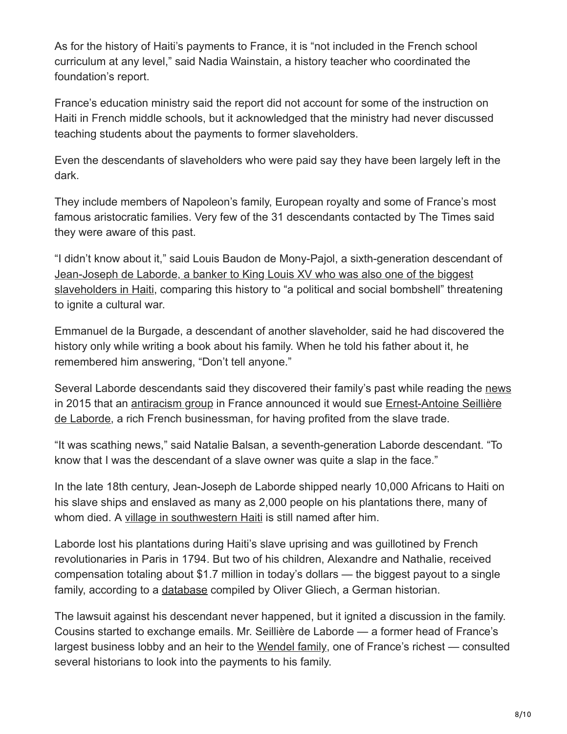As for the history of Haiti's payments to France, it is "not included in the French school curriculum at any level," said Nadia Wainstain, a history teacher who coordinated the foundation's report.

France's education ministry said the report did not account for some of the instruction on Haiti in French middle schools, but it acknowledged that the ministry had never discussed teaching students about the payments to former slaveholders.

Even the descendants of slaveholders who were paid say they have been largely left in the dark.

They include members of Napoleon's family, European royalty and some of France's most famous aristocratic families. Very few of the 31 descendants contacted by The Times said they were aware of this past.

"I didn't know about it," said Louis Baudon de Mony-Pajol, a sixth-generation descendant of Jean-Joseph de Laborde, a banker to King Louis XV who was also one of the biggest [slaveholders in Haiti, comparing this history to "a political and social bombshell" threat](https://www.nytimes.com/2022/05/20/world/haiti-history-colonized-france.html)ening to ignite a cultural war.

Emmanuel de la Burgade, a descendant of another slaveholder, said he had discovered the history only while writing a book about his family. When he told his father about it, he remembered him answering, "Don't tell anyone."

Several Laborde descendants said they discovered their family's past while reading the [news](https://www.nouvelobs.com/societe/20150510.OBS8692/esclavage-pourquoi-le-cran-assigne-le-baron-seilliere-en-justice.html) [in 2015 that an a](https://www.lemonde.fr/societe/article/2022/04/20/fraude-fiscale-trois-ans-de-prison-avec-sursis-pour-l-ancien-president-du-medef-ernest-antoine-seilliere_6123007_3224.html)[ntiracism grou](https://le-cran.fr/qui-sommes-nous/)[p in France announced it would sue Ernest-Antoine Seillière](https://www.lemonde.fr/societe/article/2022/04/20/fraude-fiscale-trois-ans-de-prison-avec-sursis-pour-l-ancien-president-du-medef-ernest-antoine-seilliere_6123007_3224.html) de Laborde, a rich French businessman, for having profited from the slave trade.

"It was scathing news," said Natalie Balsan, a seventh-generation Laborde descendant. "To know that I was the descendant of a slave owner was quite a slap in the face."

In the late 18th century, Jean-Joseph de Laborde shipped nearly 10,000 Africans to Haiti on his slave ships and enslaved as many as 2,000 people on his plantations there, many of whom died. A [village in southwestern Haiti](https://www.google.com/maps/place/La+Borde,+Ha%C3%AFti/@18.2797452,-73.8087488,15z/data=!3m1!4b1!4m5!3m4!1s0x8ec79833ce2095b5:0xbfd817fabae73044!8m2!3d18.2818412!4d-73.8022046) is still named after him.

Laborde lost his plantations during Haiti's slave uprising and was guillotined by French revolutionaries in Paris in 1794. But two of his children, Alexandre and Nathalie, received compensation totaling about \$1.7 million in today's dollars — the biggest payout to a single family, according to a [database](https://www.domingino.de/stdomin/colons_g.htm) compiled by Oliver Gliech, a German historian.

The lawsuit against his descendant never happened, but it ignited a discussion in the family. Cousins started to exchange emails. Mr. Seillière de Laborde — a former head of France's largest business lobby and an heir to the [Wendel family,](https://www.nytimes.com/2016/04/10/realestate/before-the-trumps-there-were-the-wendels.html) one of France's richest — consulted several historians to look into the payments to his family.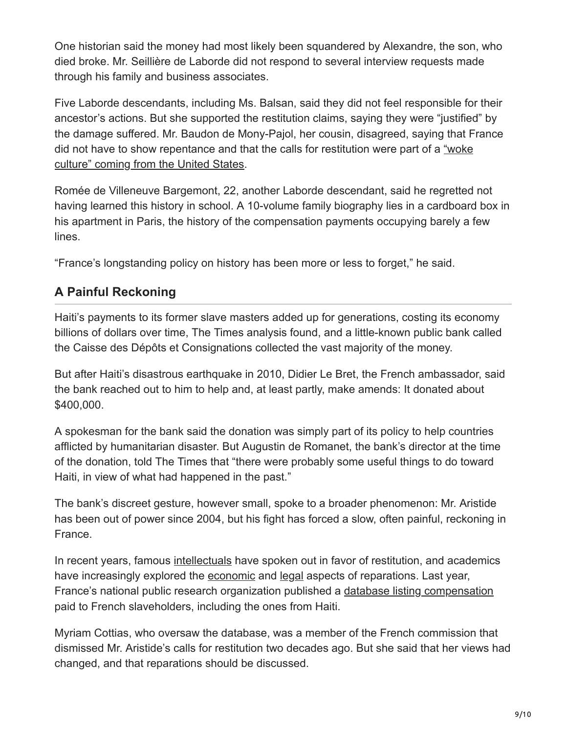One historian said the money had most likely been squandered by Alexandre, the son, who died broke. Mr. Seillière de Laborde did not respond to several interview requests made through his family and business associates.

Five Laborde descendants, including Ms. Balsan, said they did not feel responsible for their ancestor's actions. But she supported the restitution claims, saying they were "justified" by the damage suffered. Mr. Baudon de Mony-Pajol, her cousin, disagreed, saying that France [did not have to show repentance and that the calls for restitution were part of a "woke](https://www.nytimes.com/2021/02/09/world/europe/france-threat-american-universities.html?searchResultPosition=1) culture" coming from the United States.

Romée de Villeneuve Bargemont, 22, another Laborde descendant, said he regretted not having learned this history in school. A 10-volume family biography lies in a cardboard box in his apartment in Paris, the history of the compensation payments occupying barely a few lines.

"France's longstanding policy on history has been more or less to forget," he said.

## **A Painful Reckoning**

Haiti's payments to its former slave masters added up for generations, costing its economy billions of dollars over time, The Times analysis found, and a little-known public bank called the Caisse des Dépôts et Consignations collected the vast majority of the money.

But after Haiti's disastrous earthquake in 2010, Didier Le Bret, the French ambassador, said the bank reached out to him to help and, at least partly, make amends: It donated about \$400,000.

A spokesman for the bank said the donation was simply part of its policy to help countries afflicted by humanitarian disaster. But Augustin de Romanet, the bank's director at the time of the donation, told The Times that "there were probably some useful things to do toward Haiti, in view of what had happened in the past."

The bank's discreet gesture, however small, spoke to a broader phenomenon: Mr. Aristide has been out of power since 2004, but his fight has forced a slow, often painful, reckoning in France.

In recent years, famous [intellectuals](https://connexion.liberation.fr/autorefresh?referer=https%3a%2f%2fwww.liberation.fr%2fplanete%2f2010%2f08%2f16%2fm-sarkozy-rendez-a-haiti-son-argent-extorque_672275%2f) have spoken out in favor of restitution, and academics have increasingly explored the [economic](https://papers.ssrn.com/sol3/papers.cfm?abstract_id=3894623) and [legal](https://papers.ssrn.com/sol3/papers.cfm?abstract_id=3798802) aspects of reparations. Last year, France's national public research organization published a [database listing compensation](https://esclavage-indemnites.fr/public/) paid to French slaveholders, including the ones from Haiti.

Myriam Cottias, who oversaw the database, was a member of the French commission that dismissed Mr. Aristide's calls for restitution two decades ago. But she said that her views had changed, and that reparations should be discussed.